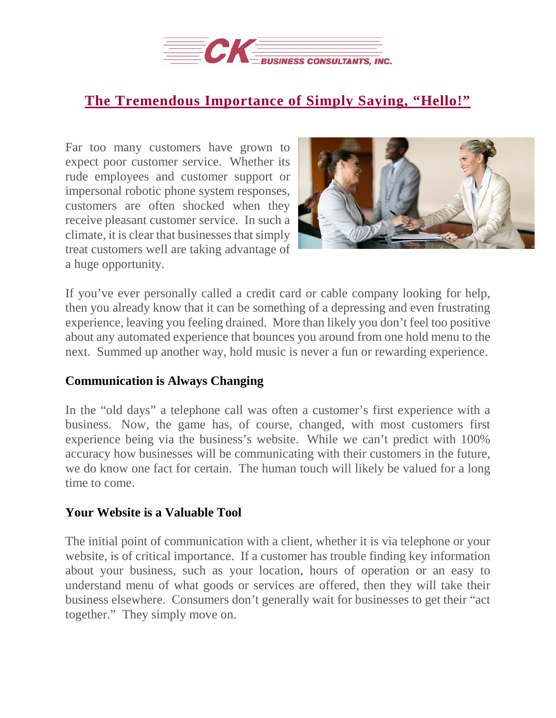

## **The [Tremendous](https://deal-studio.com/tremendous-importance-simply-saying-hello/) Importance of Simply Saying, "Hello!"**

Far too many customers have grown to expect poor customer service. Whether its rude employees and customer support or impersonal robotic phone system responses, customers are often shocked when they receive pleasant customer service. In such a climate, it is clear that businesses that simply treat customers well are taking advantage of a huge opportunity.



If you've ever personally called a credit card or cable company looking for help, then you already know that it can be something of a depressing and even frustrating experience, leaving you feeling drained. More than likely you don't feel too positive about any automated experience that bounces you around from one hold menu to the next. Summed up another way, hold music is never a fun or rewarding experience.

## **Communication is Always Changing**

In the "old days" a telephone call was often a customer's first experience with a business. Now, the game has, of course, changed, with most customers first experience being via the business's website. While we can't predict with 100% accuracy how businesses will be communicating with their customers in the future, we do know one fact for certain. The human touch will likely be valued for a long time to come.

## **Your Website is a Valuable Tool**

The initial point of communication with a client, whether it is via telephone or your website, is of critical importance. If a customer has trouble finding key information about your business, such as your location, hours of operation or an easy to understand menu of what goods or services are offered, then they will take their business elsewhere. Consumers don't generally wait for businesses to get their "act together." They simply move on.